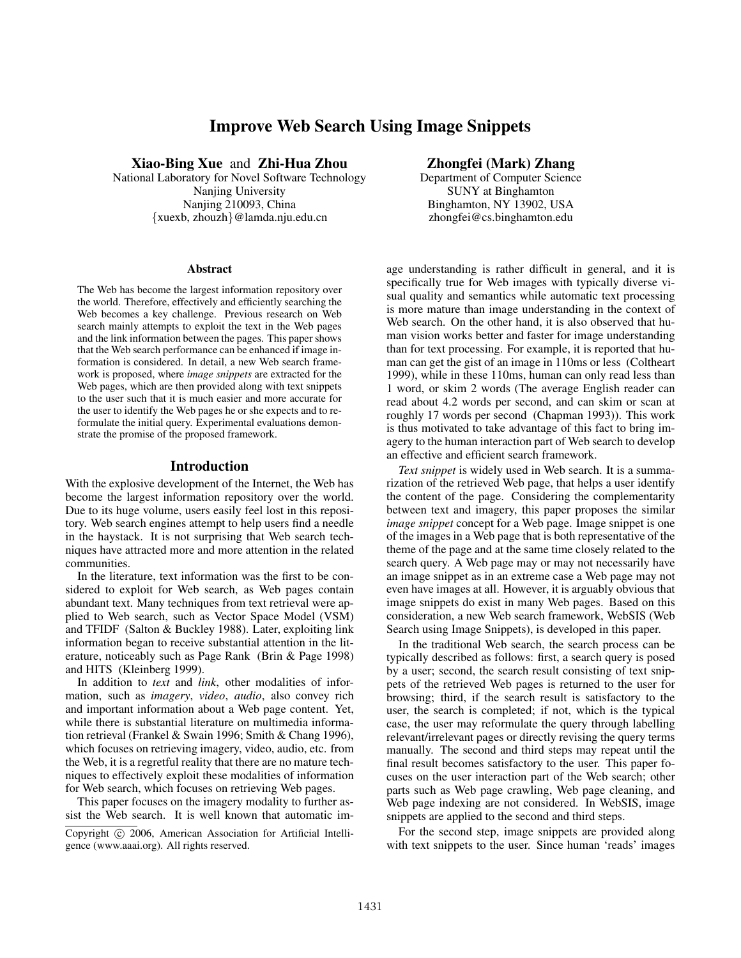# **Improve Web Search Using Image Snippets**

**Xiao-Bing Xue** and **Zhi-Hua Zhou**

National Laboratory for Novel Software Technology Nanjing University Nanjing 210093, China *{*xuexb, zhouzh*}*@lamda.nju.edu.cn

#### **Abstract**

The Web has become the largest information repository over the world. Therefore, effectively and efficiently searching the Web becomes a key challenge. Previous research on Web search mainly attempts to exploit the text in the Web pages and the link information between the pages. This paper shows that the Web search performance can be enhanced if image information is considered. In detail, a new Web search framework is proposed, where *image snippets* are extracted for the Web pages, which are then provided along with text snippets to the user such that it is much easier and more accurate for the user to identify the Web pages he or she expects and to reformulate the initial query. Experimental evaluations demonstrate the promise of the proposed framework.

# **Introduction**

With the explosive development of the Internet, the Web has become the largest information repository over the world. Due to its huge volume, users easily feel lost in this repository. Web search engines attempt to help users find a needle in the haystack. It is not surprising that Web search techniques have attracted more and more attention in the related communities.

In the literature, text information was the first to be considered to exploit for Web search, as Web pages contain abundant text. Many techniques from text retrieval were applied to Web search, such as Vector Space Model (VSM) and TFIDF (Salton & Buckley 1988). Later, exploiting link information began to receive substantial attention in the literature, noticeably such as Page Rank (Brin & Page 1998) and HITS (Kleinberg 1999).

In addition to *text* and *link*, other modalities of information, such as *imagery*, *video*, *audio*, also convey rich and important information about a Web page content. Yet, while there is substantial literature on multimedia information retrieval (Frankel & Swain 1996; Smith & Chang 1996), which focuses on retrieving imagery, video, audio, etc. from the Web, it is a regretful reality that there are no mature techniques to effectively exploit these modalities of information for Web search, which focuses on retrieving Web pages.

This paper focuses on the imagery modality to further assist the Web search. It is well known that automatic im-

# **Zhongfei (Mark) Zhang**

Department of Computer Science SUNY at Binghamton Binghamton, NY 13902, USA zhongfei@cs.binghamton.edu

age understanding is rather difficult in general, and it is specifically true for Web images with typically diverse visual quality and semantics while automatic text processing is more mature than image understanding in the context of Web search. On the other hand, it is also observed that human vision works better and faster for image understanding than for text processing. For example, it is reported that human can get the gist of an image in 110ms or less (Coltheart 1999), while in these 110ms, human can only read less than 1 word, or skim 2 words (The average English reader can read about 4.2 words per second, and can skim or scan at roughly 17 words per second (Chapman 1993)). This work is thus motivated to take advantage of this fact to bring imagery to the human interaction part of Web search to develop an effective and efficient search framework.

*Text snippet* is widely used in Web search. It is a summarization of the retrieved Web page, that helps a user identify the content of the page. Considering the complementarity between text and imagery, this paper proposes the similar *image snippet* concept for a Web page. Image snippet is one of the images in a Web page that is both representative of the theme of the page and at the same time closely related to the search query. A Web page may or may not necessarily have an image snippet as in an extreme case a Web page may not even have images at all. However, it is arguably obvious that image snippets do exist in many Web pages. Based on this consideration, a new Web search framework, WebSIS (Web Search using Image Snippets), is developed in this paper.

In the traditional Web search, the search process can be typically described as follows: first, a search query is posed by a user; second, the search result consisting of text snippets of the retrieved Web pages is returned to the user for browsing; third, if the search result is satisfactory to the user, the search is completed; if not, which is the typical case, the user may reformulate the query through labelling relevant/irrelevant pages or directly revising the query terms manually. The second and third steps may repeat until the final result becomes satisfactory to the user. This paper focuses on the user interaction part of the Web search; other parts such as Web page crawling, Web page cleaning, and Web page indexing are not considered. In WebSIS, image snippets are applied to the second and third steps.

For the second step, image snippets are provided along with text snippets to the user. Since human 'reads' images

Copyright  $\odot$  2006, American Association for Artificial Intelligence (www.aaai.org). All rights reserved.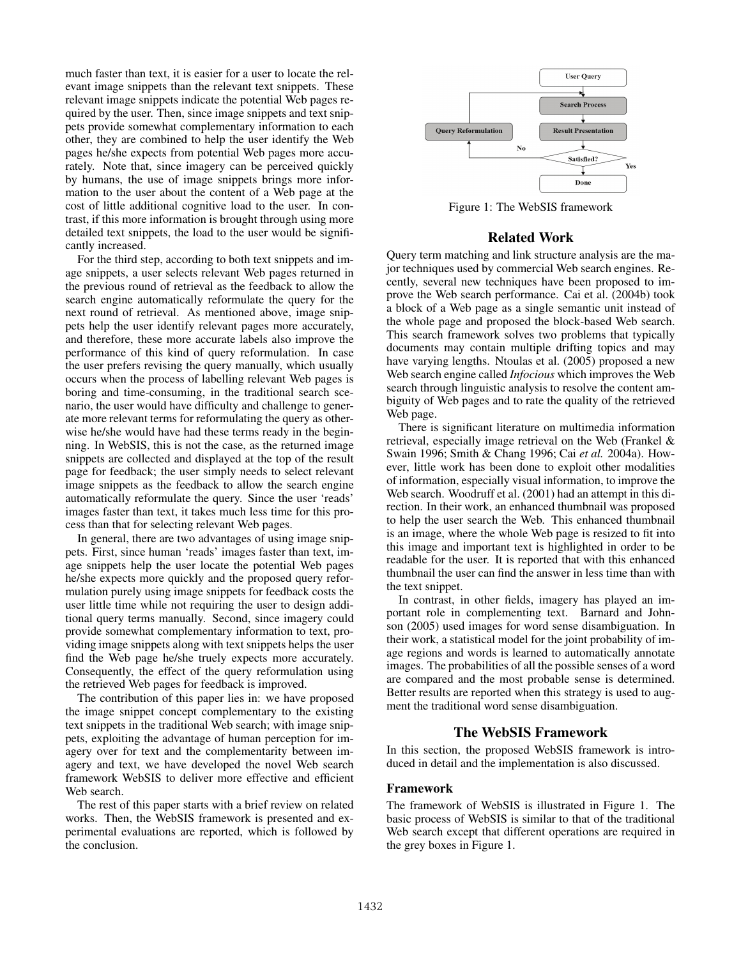much faster than text, it is easier for a user to locate the relevant image snippets than the relevant text snippets. These relevant image snippets indicate the potential Web pages required by the user. Then, since image snippets and text snippets provide somewhat complementary information to each other, they are combined to help the user identify the Web pages he/she expects from potential Web pages more accurately. Note that, since imagery can be perceived quickly by humans, the use of image snippets brings more information to the user about the content of a Web page at the cost of little additional cognitive load to the user. In contrast, if this more information is brought through using more detailed text snippets, the load to the user would be significantly increased.

For the third step, according to both text snippets and image snippets, a user selects relevant Web pages returned in the previous round of retrieval as the feedback to allow the search engine automatically reformulate the query for the next round of retrieval. As mentioned above, image snippets help the user identify relevant pages more accurately, and therefore, these more accurate labels also improve the performance of this kind of query reformulation. In case the user prefers revising the query manually, which usually occurs when the process of labelling relevant Web pages is boring and time-consuming, in the traditional search scenario, the user would have difficulty and challenge to generate more relevant terms for reformulating the query as otherwise he/she would have had these terms ready in the beginning. In WebSIS, this is not the case, as the returned image snippets are collected and displayed at the top of the result page for feedback; the user simply needs to select relevant image snippets as the feedback to allow the search engine automatically reformulate the query. Since the user 'reads' images faster than text, it takes much less time for this process than that for selecting relevant Web pages.

In general, there are two advantages of using image snippets. First, since human 'reads' images faster than text, image snippets help the user locate the potential Web pages he/she expects more quickly and the proposed query reformulation purely using image snippets for feedback costs the user little time while not requiring the user to design additional query terms manually. Second, since imagery could provide somewhat complementary information to text, providing image snippets along with text snippets helps the user find the Web page he/she truely expects more accurately. Consequently, the effect of the query reformulation using the retrieved Web pages for feedback is improved.

The contribution of this paper lies in: we have proposed the image snippet concept complementary to the existing text snippets in the traditional Web search; with image snippets, exploiting the advantage of human perception for imagery over for text and the complementarity between imagery and text, we have developed the novel Web search framework WebSIS to deliver more effective and efficient Web search.

The rest of this paper starts with a brief review on related works. Then, the WebSIS framework is presented and experimental evaluations are reported, which is followed by the conclusion.



Figure 1: The WebSIS framework

### **Related Work**

Query term matching and link structure analysis are the major techniques used by commercial Web search engines. Recently, several new techniques have been proposed to improve the Web search performance. Cai et al. (2004b) took a block of a Web page as a single semantic unit instead of the whole page and proposed the block-based Web search. This search framework solves two problems that typically documents may contain multiple drifting topics and may have varying lengths. Ntoulas et al. (2005) proposed a new Web search engine called *Infocious* which improves the Web search through linguistic analysis to resolve the content ambiguity of Web pages and to rate the quality of the retrieved Web page.

There is significant literature on multimedia information retrieval, especially image retrieval on the Web (Frankel & Swain 1996; Smith & Chang 1996; Cai *et al.* 2004a). However, little work has been done to exploit other modalities of information, especially visual information, to improve the Web search. Woodruff et al. (2001) had an attempt in this direction. In their work, an enhanced thumbnail was proposed to help the user search the Web. This enhanced thumbnail is an image, where the whole Web page is resized to fit into this image and important text is highlighted in order to be readable for the user. It is reported that with this enhanced thumbnail the user can find the answer in less time than with the text snippet.

In contrast, in other fields, imagery has played an important role in complementing text. Barnard and Johnson (2005) used images for word sense disambiguation. In their work, a statistical model for the joint probability of image regions and words is learned to automatically annotate images. The probabilities of all the possible senses of a word are compared and the most probable sense is determined. Better results are reported when this strategy is used to augment the traditional word sense disambiguation.

## **The WebSIS Framework**

In this section, the proposed WebSIS framework is introduced in detail and the implementation is also discussed.

### **Framework**

The framework of WebSIS is illustrated in Figure 1. The basic process of WebSIS is similar to that of the traditional Web search except that different operations are required in the grey boxes in Figure 1.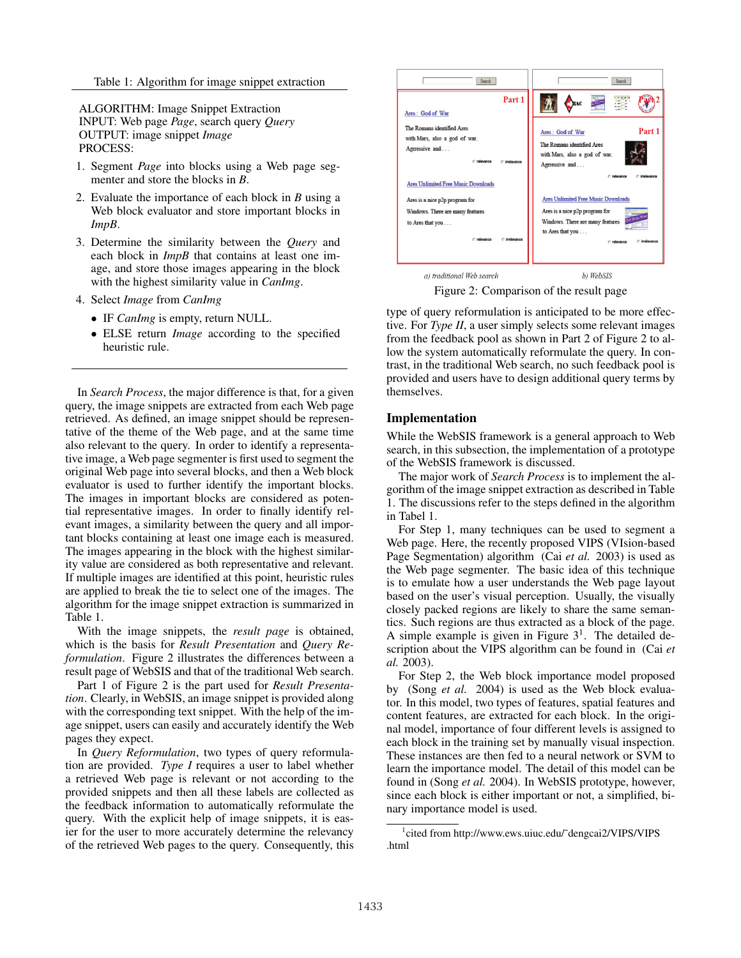ALGORITHM: Image Snippet Extraction INPUT: Web page *Page*, search query *Query* OUTPUT: image snippet *Image* PROCESS:

- 1. Segment *Page* into blocks using a Web page segmenter and store the blocks in *B*.
- 2. Evaluate the importance of each block in *B* using a Web block evaluator and store important blocks in *ImpB*.
- 3. Determine the similarity between the *Query* and each block in *ImpB* that contains at least one image, and store those images appearing in the block with the highest similarity value in *CanImg*.
- 4. Select *Image* from *CanImg*
	- *•* IF *CanImg* is empty, return NULL.
	- *•* ELSE return *Image* according to the specified heuristic rule.

In *Search Process*, the major difference is that, for a given query, the image snippets are extracted from each Web page retrieved. As defined, an image snippet should be representative of the theme of the Web page, and at the same time also relevant to the query. In order to identify a representative image, a Web page segmenter is first used to segment the original Web page into several blocks, and then a Web block evaluator is used to further identify the important blocks. The images in important blocks are considered as potential representative images. In order to finally identify relevant images, a similarity between the query and all important blocks containing at least one image each is measured. The images appearing in the block with the highest similarity value are considered as both representative and relevant. If multiple images are identified at this point, heuristic rules are applied to break the tie to select one of the images. The algorithm for the image snippet extraction is summarized in Table 1.

With the image snippets, the *result page* is obtained, which is the basis for *Result Presentation* and *Query Reformulation*. Figure 2 illustrates the differences between a result page of WebSIS and that of the traditional Web search.

Part 1 of Figure 2 is the part used for *Result Presentation*. Clearly, in WebSIS, an image snippet is provided along with the corresponding text snippet. With the help of the image snippet, users can easily and accurately identify the Web pages they expect.

In *Query Reformulation*, two types of query reformulation are provided. *Type I* requires a user to label whether a retrieved Web page is relevant or not according to the provided snippets and then all these labels are collected as the feedback information to automatically reformulate the query. With the explicit help of image snippets, it is easier for the user to more accurately determine the relevancy of the retrieved Web pages to the query. Consequently, this



a) traditional Web search

Figure 2: Comparison of the result page

type of query reformulation is anticipated to be more effective. For *Type II*, a user simply selects some relevant images from the feedback pool as shown in Part 2 of Figure 2 to allow the system automatically reformulate the query. In contrast, in the traditional Web search, no such feedback pool is provided and users have to design additional query terms by themselves.

# **Implementation**

While the WebSIS framework is a general approach to Web search, in this subsection, the implementation of a prototype of the WebSIS framework is discussed.

The major work of *Search Process* is to implement the algorithm of the image snippet extraction as described in Table 1. The discussions refer to the steps defined in the algorithm in Tabel 1.

For Step 1, many techniques can be used to segment a Web page. Here, the recently proposed VIPS (VIsion-based Page Segmentation) algorithm (Cai *et al.* 2003) is used as the Web page segmenter. The basic idea of this technique is to emulate how a user understands the Web page layout based on the user's visual perception. Usually, the visually closely packed regions are likely to share the same semantics. Such regions are thus extracted as a block of the page. A simple example is given in Figure  $3<sup>1</sup>$ . The detailed description about the VIPS algorithm can be found in (Cai *et al.* 2003).

For Step 2, the Web block importance model proposed by (Song *et al.* 2004) is used as the Web block evaluator. In this model, two types of features, spatial features and content features, are extracted for each block. In the original model, importance of four different levels is assigned to each block in the training set by manually visual inspection. These instances are then fed to a neural network or SVM to learn the importance model. The detail of this model can be found in (Song *et al.* 2004). In WebSIS prototype, however, since each block is either important or not, a simplified, binary importance model is used.

<sup>1</sup> cited from http://www.ews.uiuc.edu/˜dengcai2/VIPS/VIPS .html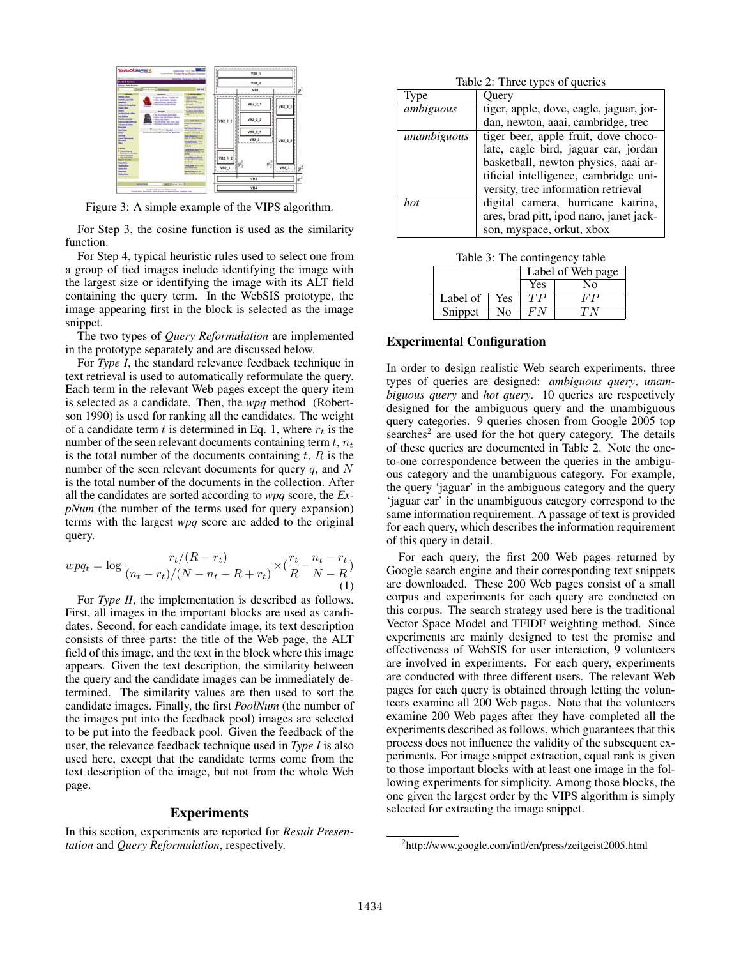

Figure 3: A simple example of the VIPS algorithm.

For Step 3, the cosine function is used as the similarity function.

For Step 4, typical heuristic rules used to select one from a group of tied images include identifying the image with the largest size or identifying the image with its ALT field containing the query term. In the WebSIS prototype, the image appearing first in the block is selected as the image snippet.

The two types of *Query Reformulation* are implemented in the prototype separately and are discussed below.

For *Type I*, the standard relevance feedback technique in text retrieval is used to automatically reformulate the query. Each term in the relevant Web pages except the query item is selected as a candidate. Then, the *wpq* method (Robertson 1990) is used for ranking all the candidates. The weight of a candidate term  $t$  is determined in Eq. 1, where  $r_t$  is the number of the seen relevant documents containing term *t*, *n<sup>t</sup>* is the total number of the documents containing *t*, *R* is the number of the seen relevant documents for query *q*, and *N* is the total number of the documents in the collection. After all the candidates are sorted according to *wpq* score, the *ExpNum* (the number of the terms used for query expansion) terms with the largest *wpq* score are added to the original query.

$$
wpq_t = \log \frac{r_t/(R - r_t)}{(n_t - r_t)/(N - n_t - R + r_t)} \times (\frac{r_t}{R} - \frac{n_t - r_t}{N - R})
$$
\n(1)

For *Type II*, the implementation is described as follows. First, all images in the important blocks are used as candidates. Second, for each candidate image, its text description consists of three parts: the title of the Web page, the ALT field of this image, and the text in the block where this image appears. Given the text description, the similarity between the query and the candidate images can be immediately determined. The similarity values are then used to sort the candidate images. Finally, the first *PoolNum* (the number of the images put into the feedback pool) images are selected to be put into the feedback pool. Given the feedback of the user, the relevance feedback technique used in *Type I* is also used here, except that the candidate terms come from the text description of the image, but not from the whole Web page.

#### **Experiments**

In this section, experiments are reported for *Result Presentation* and *Query Reformulation*, respectively.

Table 2: Three types of queries

| Type                   | Query                                   |  |  |  |  |  |
|------------------------|-----------------------------------------|--|--|--|--|--|
| $\overline{ambiguous}$ | tiger, apple, dove, eagle, jaguar, jor- |  |  |  |  |  |
|                        | dan, newton, aaai, cambridge, trec      |  |  |  |  |  |
| unambiguous            | tiger beer, apple fruit, dove choco-    |  |  |  |  |  |
|                        | late, eagle bird, jaguar car, jordan    |  |  |  |  |  |
|                        | basketball, newton physics, aaai ar-    |  |  |  |  |  |
|                        | tificial intelligence, cambridge uni-   |  |  |  |  |  |
|                        | versity, trec information retrieval     |  |  |  |  |  |
| hot                    | digital camera, hurricane katrina,      |  |  |  |  |  |
|                        | ares, brad pitt, ipod nano, janet jack- |  |  |  |  |  |
|                        | son, myspace, orkut, xbox               |  |  |  |  |  |

Table 3: The contingency table

|          |     | Label of Web page |    |  |
|----------|-----|-------------------|----|--|
|          |     | Yes               | N٥ |  |
| Label of | Yes |                   |    |  |
| Snippet  | N٥  |                   |    |  |

#### **Experimental Configuration**

In order to design realistic Web search experiments, three types of queries are designed: *ambiguous query*, *unambiguous query* and *hot query*. 10 queries are respectively designed for the ambiguous query and the unambiguous query categories. 9 queries chosen from Google 2005 top searches<sup>2</sup> are used for the hot query category. The details of these queries are documented in Table 2. Note the oneto-one correspondence between the queries in the ambiguous category and the unambiguous category. For example, the query 'jaguar' in the ambiguous category and the query 'jaguar car' in the unambiguous category correspond to the same information requirement. A passage of text is provided for each query, which describes the information requirement of this query in detail.

For each query, the first 200 Web pages returned by Google search engine and their corresponding text snippets are downloaded. These 200 Web pages consist of a small corpus and experiments for each query are conducted on this corpus. The search strategy used here is the traditional Vector Space Model and TFIDF weighting method. Since experiments are mainly designed to test the promise and effectiveness of WebSIS for user interaction, 9 volunteers are involved in experiments. For each query, experiments are conducted with three different users. The relevant Web pages for each query is obtained through letting the volunteers examine all 200 Web pages. Note that the volunteers examine 200 Web pages after they have completed all the experiments described as follows, which guarantees that this process does not influence the validity of the subsequent experiments. For image snippet extraction, equal rank is given to those important blocks with at least one image in the following experiments for simplicity. Among those blocks, the one given the largest order by the VIPS algorithm is simply selected for extracting the image snippet.

<sup>&</sup>lt;sup>2</sup>http://www.google.com/intl/en/press/zeitgeist2005.html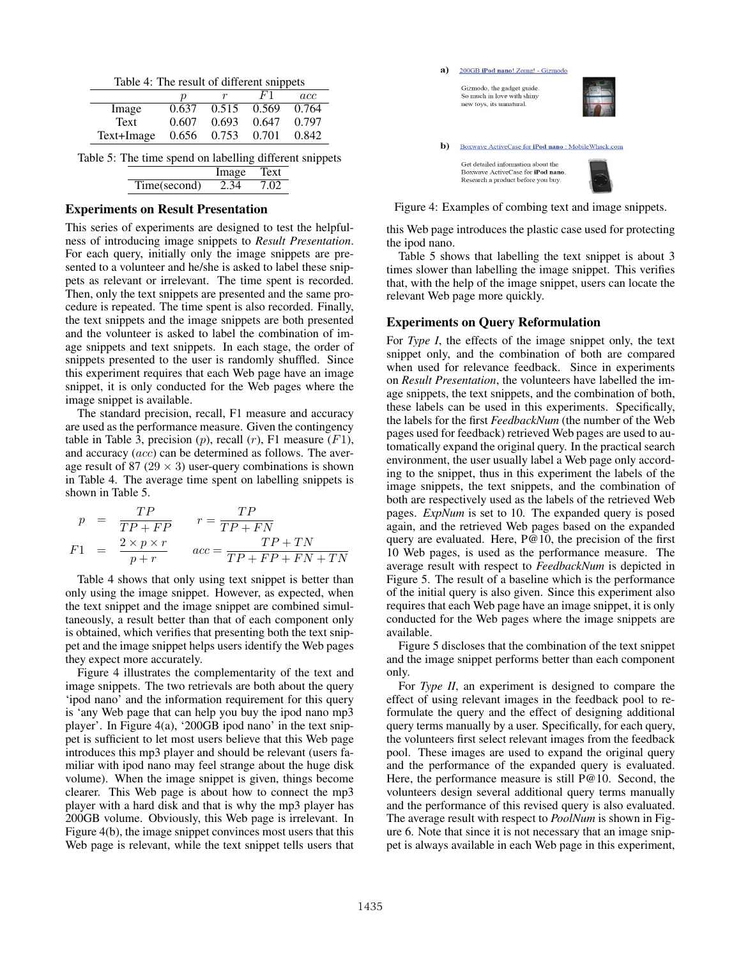| Table 4: The result of different snippets |  |
|-------------------------------------------|--|
|                                           |  |

|            | D     | r     | F1    | acc   |
|------------|-------|-------|-------|-------|
| Image      | 0.637 | 0.515 | 0.569 | 0.764 |
| Text       | 0.607 | 0.693 | 0.647 | 0.797 |
| Text+Image | 0.656 | 0.753 | 0.701 | 0.842 |
|            |       |       |       |       |

Table 5: The time spend on labelling different snippets Image Text Time(second) 2.34 7.02

#### **Experiments on Result Presentation**

This series of experiments are designed to test the helpfulness of introducing image snippets to *Result Presentation*. For each query, initially only the image snippets are presented to a volunteer and he/she is asked to label these snippets as relevant or irrelevant. The time spent is recorded. Then, only the text snippets are presented and the same procedure is repeated. The time spent is also recorded. Finally, the text snippets and the image snippets are both presented and the volunteer is asked to label the combination of image snippets and text snippets. In each stage, the order of snippets presented to the user is randomly shuffled. Since this experiment requires that each Web page have an image snippet, it is only conducted for the Web pages where the image snippet is available.

The standard precision, recall, F1 measure and accuracy are used as the performance measure. Given the contingency table in Table 3, precision (*p*), recall (*r*), F1 measure (*F*1), and accuracy (*acc*) can be determined as follows. The average result of 87 ( $29 \times 3$ ) user-query combinations is shown in Table 4. The average time spent on labelling snippets is shown in Table 5.

$$
p = \frac{TP}{TP + FP}
$$
  
\n
$$
r = \frac{TP}{TP + FN}
$$
  
\n
$$
F1 = \frac{2 \times p \times r}{p + r}
$$
  
\n
$$
acc = \frac{TP + TN}{TP + FP + FN + TN}
$$

Table 4 shows that only using text snippet is better than only using the image snippet. However, as expected, when the text snippet and the image snippet are combined simultaneously, a result better than that of each component only is obtained, which verifies that presenting both the text snippet and the image snippet helps users identify the Web pages they expect more accurately.

Figure 4 illustrates the complementarity of the text and image snippets. The two retrievals are both about the query 'ipod nano' and the information requirement for this query is 'any Web page that can help you buy the ipod nano mp3 player'. In Figure 4(a), '200GB ipod nano' in the text snippet is sufficient to let most users believe that this Web page introduces this mp3 player and should be relevant (users familiar with ipod nano may feel strange about the huge disk volume). When the image snippet is given, things become clearer. This Web page is about how to connect the mp3 player with a hard disk and that is why the mp3 player has 200GB volume. Obviously, this Web page is irrelevant. In Figure 4(b), the image snippet convinces most users that this Web page is relevant, while the text snippet tells users that



Figure 4: Examples of combing text and image snippets.

this Web page introduces the plastic case used for protecting the ipod nano.

Table 5 shows that labelling the text snippet is about 3 times slower than labelling the image snippet. This verifies that, with the help of the image snippet, users can locate the relevant Web page more quickly.

#### **Experiments on Query Reformulation**

For *Type I*, the effects of the image snippet only, the text snippet only, and the combination of both are compared when used for relevance feedback. Since in experiments on *Result Presentation*, the volunteers have labelled the image snippets, the text snippets, and the combination of both, these labels can be used in this experiments. Specifically, the labels for the first *FeedbackNum* (the number of the Web pages used for feedback) retrieved Web pages are used to automatically expand the original query. In the practical search environment, the user usually label a Web page only according to the snippet, thus in this experiment the labels of the image snippets, the text snippets, and the combination of both are respectively used as the labels of the retrieved Web pages. *ExpNum* is set to 10. The expanded query is posed again, and the retrieved Web pages based on the expanded query are evaluated. Here, P@10, the precision of the first 10 Web pages, is used as the performance measure. The average result with respect to *FeedbackNum* is depicted in Figure 5. The result of a baseline which is the performance of the initial query is also given. Since this experiment also requires that each Web page have an image snippet, it is only conducted for the Web pages where the image snippets are available.

Figure 5 discloses that the combination of the text snippet and the image snippet performs better than each component only.

For *Type II*, an experiment is designed to compare the effect of using relevant images in the feedback pool to reformulate the query and the effect of designing additional query terms manually by a user. Specifically, for each query, the volunteers first select relevant images from the feedback pool. These images are used to expand the original query and the performance of the expanded query is evaluated. Here, the performance measure is still P@10. Second, the volunteers design several additional query terms manually and the performance of this revised query is also evaluated. The average result with respect to *PoolNum* is shown in Figure 6. Note that since it is not necessary that an image snippet is always available in each Web page in this experiment,